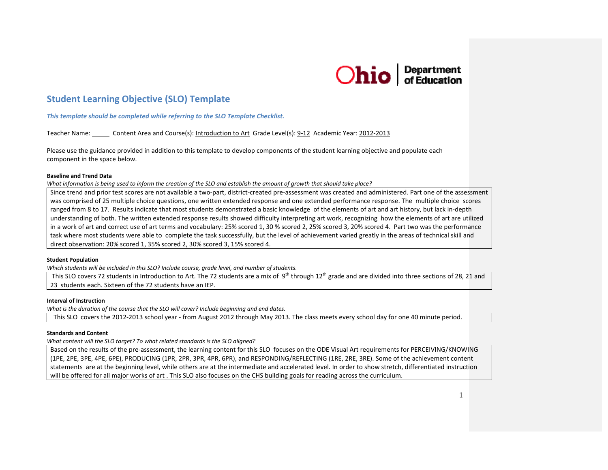

# **Student Learning Objective (SLO) Template**

*This template should be completed while referring to the SLO Template Checklist.*

Teacher Name: \_\_\_\_\_\_\_ Content Area and Course(s): <u>Introduction to Art</u> Grade Level(s): <u>9-12</u> Academic Year: <u>2012-2013</u>

Please use the guidance provided in addition to this template to develop components of the student learning objective and populate each component in the space below.

# **Baseline and Trend Data**

What information is being used to inform the creation of the SLO and establish the amount of growth that should take place?

Since trend and prior test scores are not available <sup>a</sup> two‐part, district‐created pre‐assessment was created and administered. Part one of the assessment was comprised of 25 multiple choice questions, one written extended response and one extended performance response. The multiple choice scores ranged from 8 to 17. Results indicate that most students demonstrated <sup>a</sup> basic knowledge of the elements of art and art history, but lack in‐depth understanding of both. The written extended response results showed difficulty interpreting art work, recognizing how the elements of art are utilized in <sup>a</sup> work of art and correct use of art terms and vocabulary: 25% scored 1, 30 % scored 2, 25% scored 3, 20% scored 4. Part two was the performance task where most students were able to complete the task successfully, but the level of achievement varied greatly in the areas of technical skill and direct observation: 20% scored 1, 35% scored 2, 30% scored 3, 15% scored 4.

### **Student Population**

*Which students will be included in this SLO? Include course, grade level, and number of students.*

This SLO covers 72 students in Introduction to Art. The 72 students are a mix of  $9^{th}$  through  $12^{th}$  grade and are divided into three sections of 28, 21 and 23 students each. Sixteen of the 72 students have an IEP.

### **Interval of Instruction**

*What is the duration of the course that the SLO will cover? Include beginning and end dates.* This SLO covers the 2012‐2013 school year ‐ from August 2012 through May 2013. The class meets every school day for one 40 minute period.

### **Standards and Content**

*What content will the SLO target? To what related standards is the SLO aligned?*

Based on the results of the pre‐assessment, the learning content for this SLO focuses on the ODE Visual Art requirements for PERCEIVING/KNOWING (1PE, 2PE, 3PE, 4PE, 6PE), PRODUCING (1PR, 2PR, 3PR, 4PR, 6PR), and RESPONDING/REFLECTING (1RE, 2RE, 3RE). Some of the achievement content statements are at the beginning level, while others are at the intermediate and accelerated level. In order to show stretch, differentiated instruction will be offered for all major works of art . This SLO also focuses on the CHS building goals for reading across the curriculum.